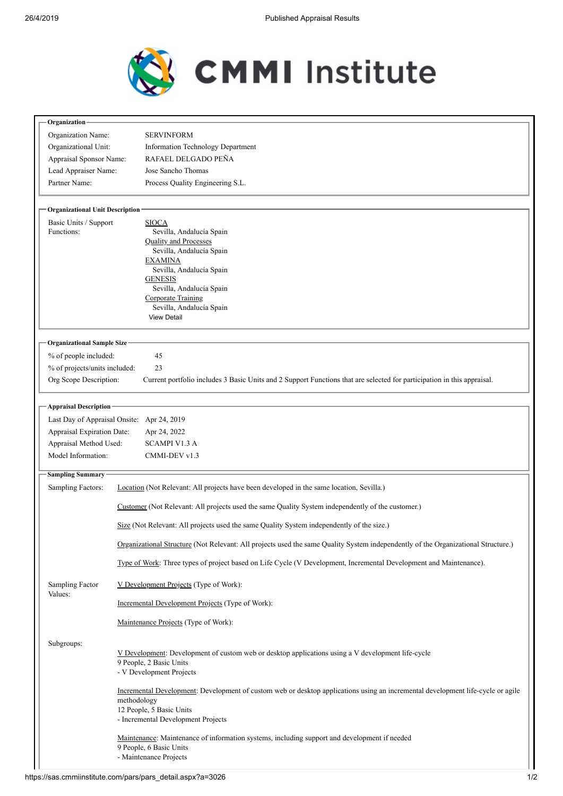

| Organization                           |                                                                                                                                                                                                                                                                 |  |  |  |
|----------------------------------------|-----------------------------------------------------------------------------------------------------------------------------------------------------------------------------------------------------------------------------------------------------------------|--|--|--|
| Organization Name:                     | <b>SERVINFORM</b>                                                                                                                                                                                                                                               |  |  |  |
| Organizational Unit:                   | <b>Information Technology Department</b>                                                                                                                                                                                                                        |  |  |  |
| Appraisal Sponsor Name:                | RAFAEL DELGADO PEÑA                                                                                                                                                                                                                                             |  |  |  |
| Lead Appraiser Name:                   | Jose Sancho Thomas                                                                                                                                                                                                                                              |  |  |  |
| Partner Name:                          | Process Quality Engineering S.L.                                                                                                                                                                                                                                |  |  |  |
| <b>Organizational Unit Description</b> |                                                                                                                                                                                                                                                                 |  |  |  |
| Basic Units / Support                  | <b>SIOCA</b>                                                                                                                                                                                                                                                    |  |  |  |
| Functions:                             | Sevilla, Andalucía Spain<br><b>Quality and Processes</b><br>Sevilla, Andalucía Spain<br><b>EXAMINA</b><br>Sevilla, Andalucía Spain<br><b>GENESIS</b><br>Sevilla, Andalucía Spain<br><b>Corporate Training</b><br>Sevilla, Andalucía Spain<br><b>View Detail</b> |  |  |  |
|                                        |                                                                                                                                                                                                                                                                 |  |  |  |
|                                        |                                                                                                                                                                                                                                                                 |  |  |  |
|                                        |                                                                                                                                                                                                                                                                 |  |  |  |
|                                        |                                                                                                                                                                                                                                                                 |  |  |  |
|                                        |                                                                                                                                                                                                                                                                 |  |  |  |
|                                        |                                                                                                                                                                                                                                                                 |  |  |  |
|                                        |                                                                                                                                                                                                                                                                 |  |  |  |
|                                        |                                                                                                                                                                                                                                                                 |  |  |  |
| <b>Organizational Sample Size-</b>     |                                                                                                                                                                                                                                                                 |  |  |  |
| % of people included:                  | 45                                                                                                                                                                                                                                                              |  |  |  |
| % of projects/units included:          | 23                                                                                                                                                                                                                                                              |  |  |  |
| Org Scope Description:                 | Current portfolio includes 3 Basic Units and 2 Support Functions that are selected for participation in this appraisal.                                                                                                                                         |  |  |  |
| <b>Appraisal Description</b>           |                                                                                                                                                                                                                                                                 |  |  |  |
|                                        | Last Day of Appraisal Onsite: Apr 24, 2019                                                                                                                                                                                                                      |  |  |  |
| Appraisal Expiration Date:             | Apr 24, 2022                                                                                                                                                                                                                                                    |  |  |  |
| Appraisal Method Used:                 | <b>SCAMPI V1.3 A</b>                                                                                                                                                                                                                                            |  |  |  |
| Model Information:                     | CMMI-DEV v1.3                                                                                                                                                                                                                                                   |  |  |  |
| <b>Sampling Summary</b>                |                                                                                                                                                                                                                                                                 |  |  |  |
| <b>Sampling Factors:</b>               | Location (Not Relevant: All projects have been developed in the same location, Sevilla.)                                                                                                                                                                        |  |  |  |
|                                        | Customer (Not Relevant: All projects used the same Quality System independently of the customer.)                                                                                                                                                               |  |  |  |
|                                        | Size (Not Relevant: All projects used the same Quality System independently of the size.)                                                                                                                                                                       |  |  |  |
|                                        | Organizational Structure (Not Relevant: All projects used the same Quality System independently of the Organizational Structure.)                                                                                                                               |  |  |  |
|                                        | Type of Work: Three types of project based on Life Cycle (V Development, Incremental Development and Maintenance).                                                                                                                                              |  |  |  |
| Sampling Factor<br>Values:             | V Development Projects (Type of Work):                                                                                                                                                                                                                          |  |  |  |
|                                        | Incremental Development Projects (Type of Work):                                                                                                                                                                                                                |  |  |  |
|                                        | Maintenance Projects (Type of Work):                                                                                                                                                                                                                            |  |  |  |
| Subgroups:                             | V Development: Development of custom web or desktop applications using a V development life-cycle<br>9 People, 2 Basic Units<br>- V Development Projects                                                                                                        |  |  |  |
|                                        | Incremental Development: Development of custom web or desktop applications using an incremental development life-cycle or agile<br>methodology<br>12 People, 5 Basic Units<br>- Incremental Development Projects                                                |  |  |  |
|                                        | Maintenance: Maintenance of information systems, including support and development if needed<br>9 People, 6 Basic Units<br>- Maintenance Projects                                                                                                               |  |  |  |

٦